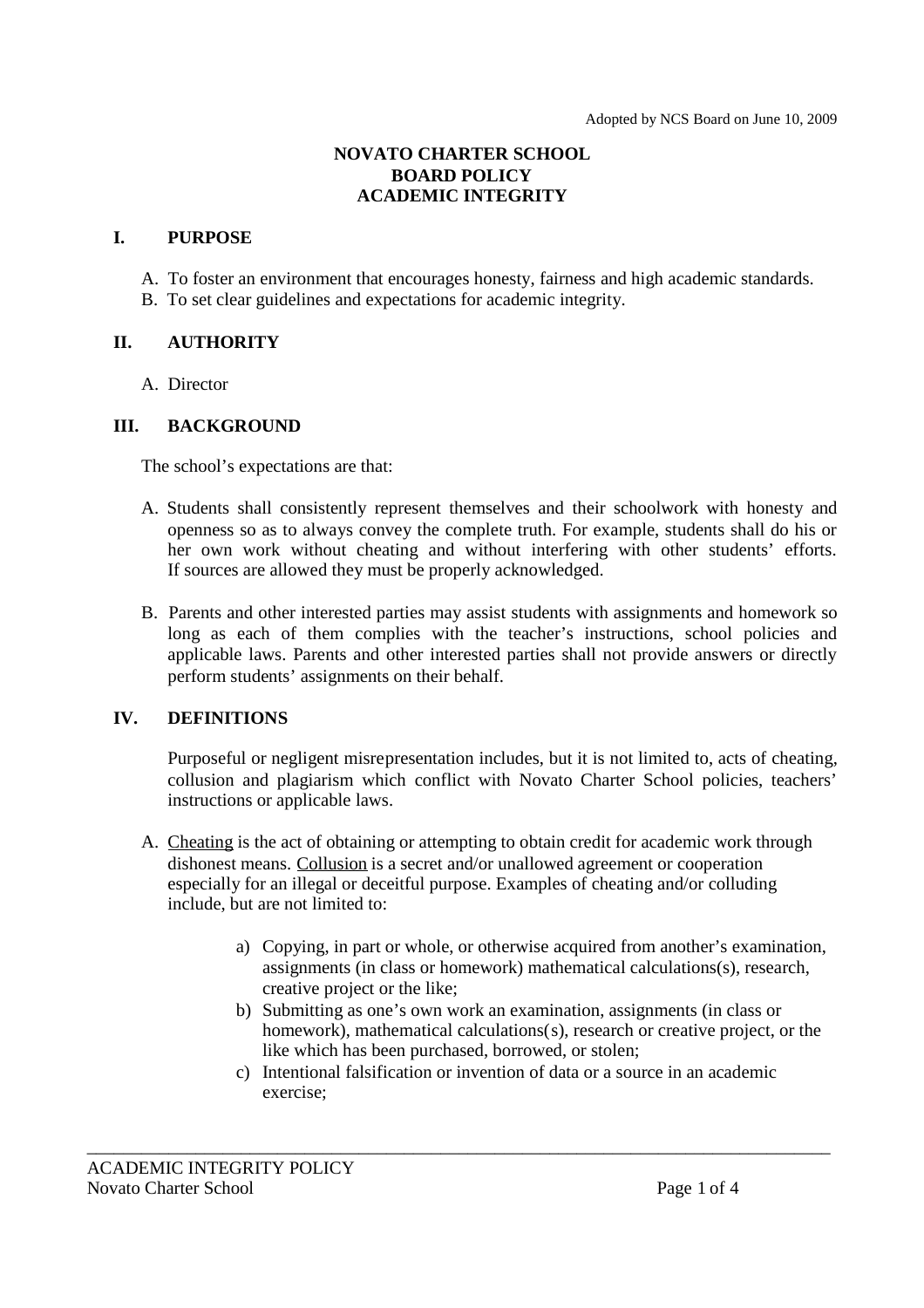## **NOVATO CHARTER SCHOOL BOARD POLICY ACADEMIC INTEGRITY**

#### **I. PURPOSE**

- A. To foster an environment that encourages honesty, fairness and high academic standards.
- B. To set clear guidelines and expectations for academic integrity.

## **II. AUTHORITY**

A. Director

## **III. BACKGROUND**

The school's expectations are that:

- A. Students shall consistently represent themselves and their schoolwork with honesty and openness so as to always convey the complete truth. For example, students shall do his or her own work without cheating and without interfering with other students' efforts. If sources are allowed they must be properly acknowledged.
- B. Parents and other interested parties may assist students with assignments and homework so long as each of them complies with the teacher's instructions, school policies and applicable laws. Parents and other interested parties shall not provide answers or directly perform students' assignments on their behalf.

## **IV. DEFINITIONS**

Purposeful or negligent misrepresentation includes, but it is not limited to, acts of cheating, collusion and plagiarism which conflict with Novato Charter School policies, teachers' instructions or applicable laws.

- A. Cheating is the act of obtaining or attempting to obtain credit for academic work through dishonest means. Collusion is a secret and/or unallowed agreement or cooperation especially for an illegal or deceitful purpose. Examples of cheating and/or colluding include, but are not limited to:
	- a) Copying, in part or whole, or otherwise acquired from another's examination, assignments (in class or homework) mathematical calculations(s), research, creative project or the like;
	- b) Submitting as one's own work an examination, assignments (in class or homework), mathematical calculations(s), research or creative project, or the like which has been purchased, borrowed, or stolen;
	- c) Intentional falsification or invention of data or a source in an academic exercise;

\_\_\_\_\_\_\_\_\_\_\_\_\_\_\_\_\_\_\_\_\_\_\_\_\_\_\_\_\_\_\_\_\_\_\_\_\_\_\_\_\_\_\_\_\_\_\_\_\_\_\_\_\_\_\_\_\_\_\_\_\_\_\_\_\_\_\_\_\_\_\_\_\_\_\_\_\_\_\_\_\_\_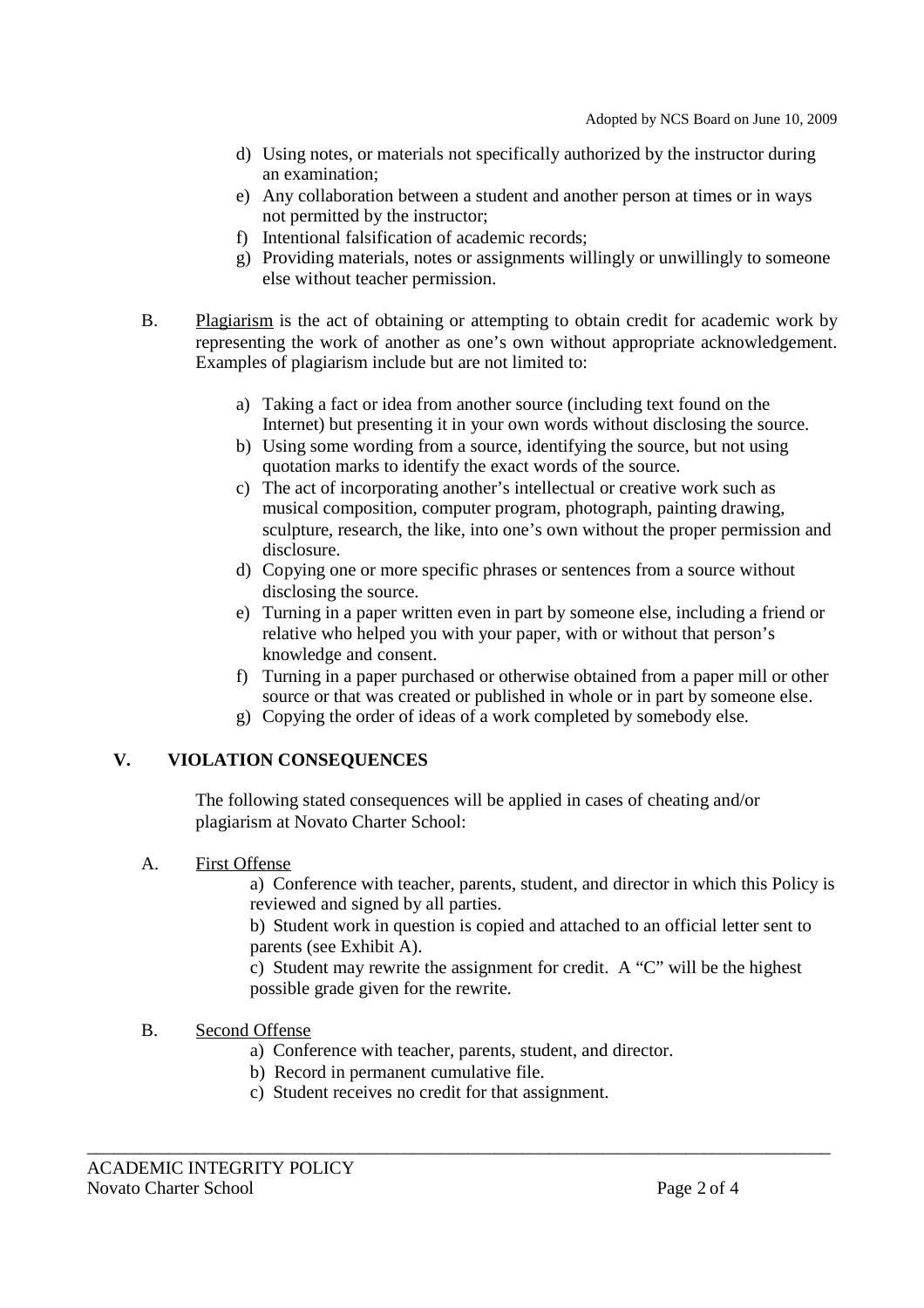- d) Using notes, or materials not specifically authorized by the instructor during an examination;
- e) Any collaboration between a student and another person at times or in ways not permitted by the instructor;
- f) Intentional falsification of academic records;
- g) Providing materials, notes or assignments willingly or unwillingly to someone else without teacher permission.
- B. Plagiarism is the act of obtaining or attempting to obtain credit for academic work by representing the work of another as one's own without appropriate acknowledgement. Examples of plagiarism include but are not limited to:
	- a) Taking a fact or idea from another source (including text found on the Internet) but presenting it in your own words without disclosing the source.
	- b) Using some wording from a source, identifying the source, but not using quotation marks to identify the exact words of the source.
	- c) The act of incorporating another's intellectual or creative work such as musical composition, computer program, photograph, painting drawing, sculpture, research, the like, into one's own without the proper permission and disclosure.
	- d) Copying one or more specific phrases or sentences from a source without disclosing the source.
	- e) Turning in a paper written even in part by someone else, including a friend or relative who helped you with your paper, with or without that person's knowledge and consent.
	- f) Turning in a paper purchased or otherwise obtained from a paper mill or other source or that was created or published in whole or in part by someone else.
	- g) Copying the order of ideas of a work completed by somebody else.

## **V. VIOLATION CONSEQUENCES**

The following stated consequences will be applied in cases of cheating and/or plagiarism at Novato Charter School:

## A. First Offense

a) Conference with teacher, parents, student, and director in which this Policy is reviewed and signed by all parties.

b) Student work in question is copied and attached to an official letter sent to parents (see Exhibit A).

c) Student may rewrite the assignment for credit. A "C" will be the highest possible grade given for the rewrite.

#### B. Second Offense

a) Conference with teacher, parents, student, and director.

\_\_\_\_\_\_\_\_\_\_\_\_\_\_\_\_\_\_\_\_\_\_\_\_\_\_\_\_\_\_\_\_\_\_\_\_\_\_\_\_\_\_\_\_\_\_\_\_\_\_\_\_\_\_\_\_\_\_\_\_\_\_\_\_\_\_\_\_\_\_\_\_\_\_\_\_\_\_\_\_\_\_

- b) Record in permanent cumulative file.
- c) Student receives no credit for that assignment.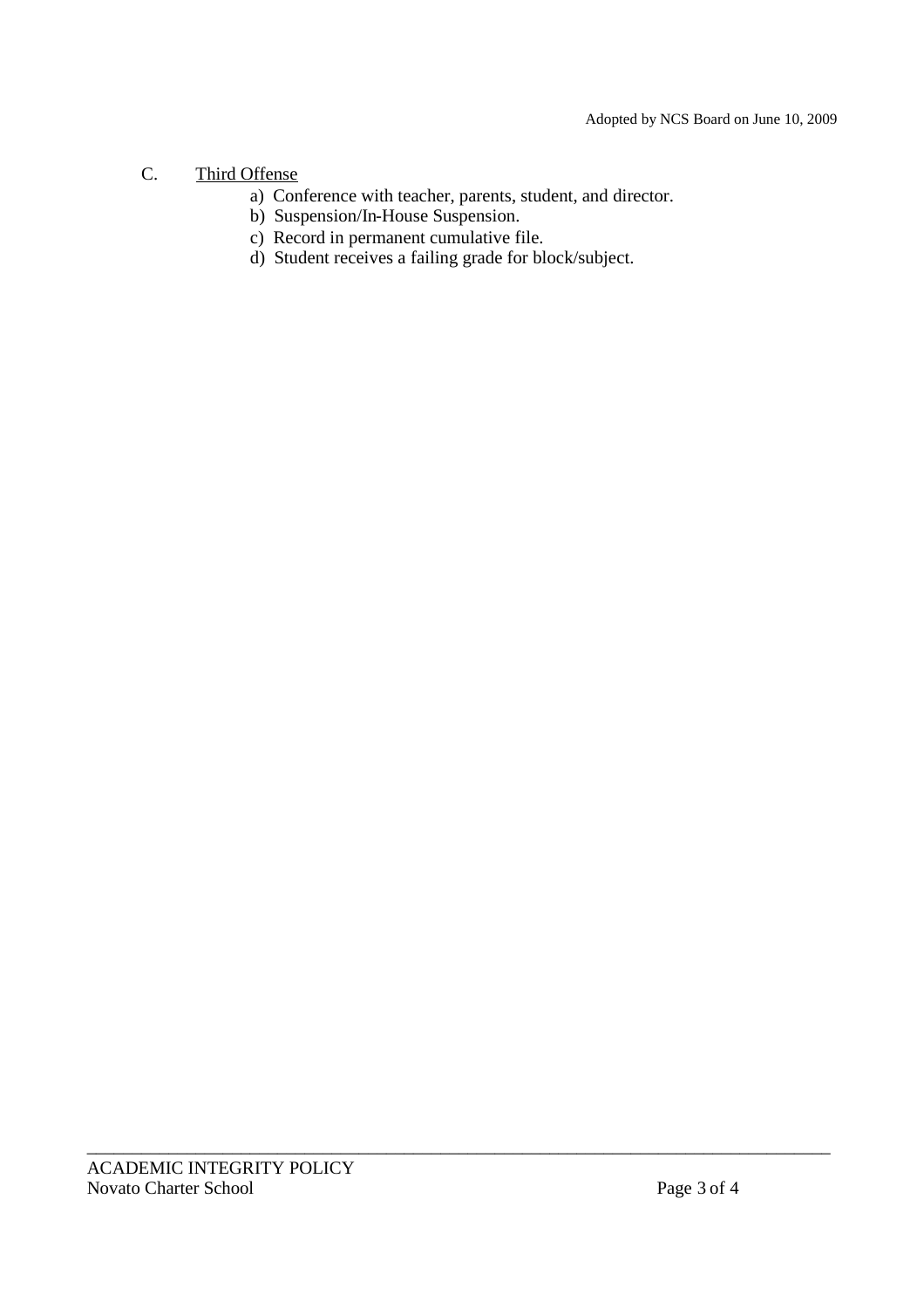# C. Third Offense

- a) Conference with teacher, parents, student, and director.
- b) Suspension/In-House Suspension.
- c) Record in permanent cumulative file.
- d) Student receives a failing grade for block/subject.

\_\_\_\_\_\_\_\_\_\_\_\_\_\_\_\_\_\_\_\_\_\_\_\_\_\_\_\_\_\_\_\_\_\_\_\_\_\_\_\_\_\_\_\_\_\_\_\_\_\_\_\_\_\_\_\_\_\_\_\_\_\_\_\_\_\_\_\_\_\_\_\_\_\_\_\_\_\_\_\_\_\_